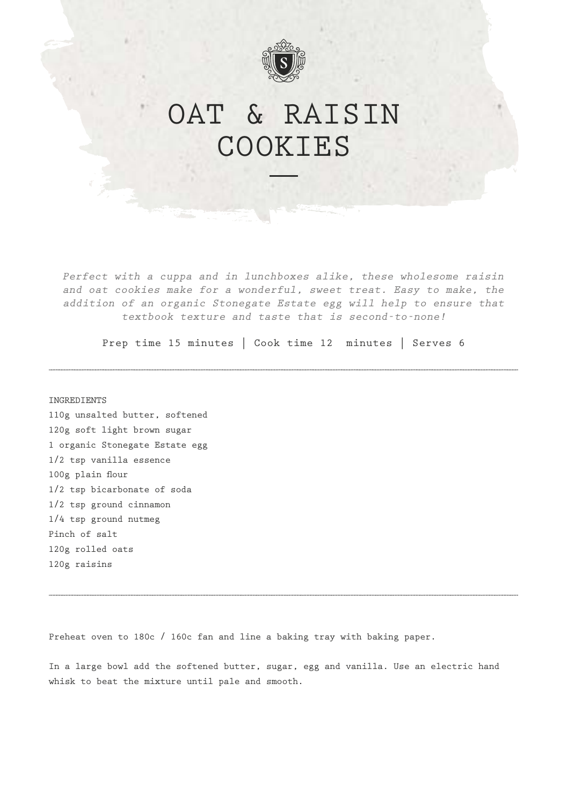

## OAT & RAISIN COOKIES

*Perfect with a cuppa and in lunchboxes alike, these wholesome raisin and oat cookies make for a wonderful, sweet treat. Easy to make, the addition of an organic Stonegate Estate egg will help to ensure that textbook texture and taste that is second-to-none!*

Prep time 15 minutes | Cook time 12 minutes | Serves 6

INGREDIENTS

110g unsalted butter, softened 120g soft light brown sugar 1 organic Stonegate Estate egg 1/2 tsp vanilla essence 100g plain flour 1/2 tsp bicarbonate of soda 1/2 tsp ground cinnamon 1/4 tsp ground nutmeg Pinch of salt 120g rolled oats 120g raisins

Preheat oven to 180c / 160c fan and line a baking tray with baking paper.

In a large bowl add the softened butter, sugar, egg and vanilla. Use an electric hand whisk to beat the mixture until pale and smooth.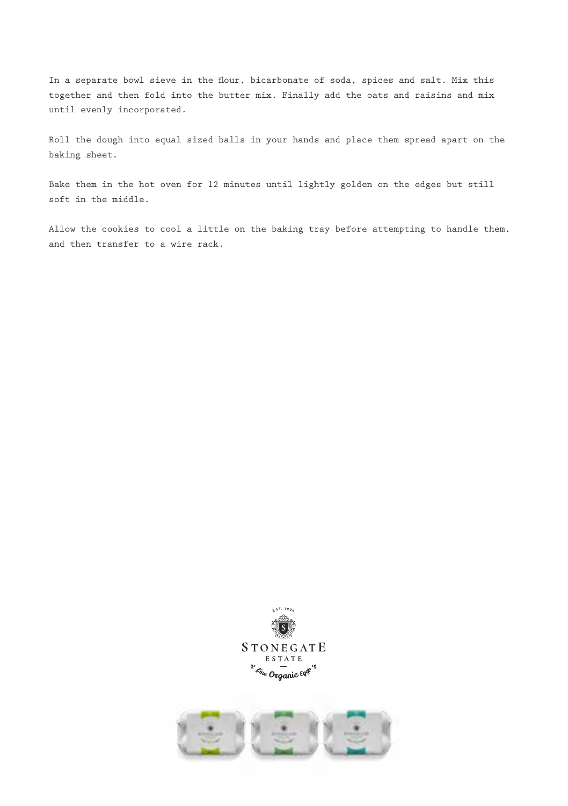In a separate bowl sieve in the flour, bicarbonate of soda, spices and salt. Mix this together and then fold into the butter mix. Finally add the oats and raisins and mix until evenly incorporated.

Roll the dough into equal sized balls in your hands and place them spread apart on the baking sheet.

Bake them in the hot oven for 12 minutes until lightly golden on the edges but still soft in the middle.

Allow the cookies to cool a little on the baking tray before attempting to handle them, and then transfer to a wire rack.